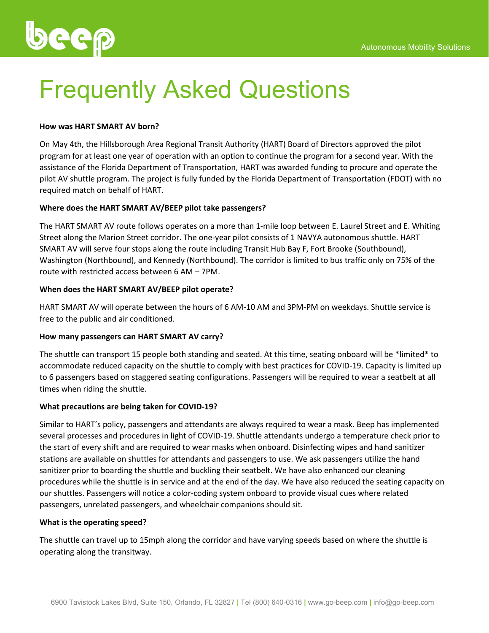

# Frequently Asked Questions

# **How was HART SMART AV born?**

On May 4th, the Hillsborough Area Regional Transit Authority (HART) Board of Directors approved the pilot program for at least one year of operation with an option to continue the program for a second year. With the assistance of the Florida Department of Transportation, HART was awarded funding to procure and operate the pilot AV shuttle program. The project is fully funded by the Florida Department of Transportation (FDOT) with no required match on behalf of HART.

# **Where does the HART SMART AV/BEEP pilot take passengers?**

The HART SMART AV route follows operates on a more than 1-mile loop between E. Laurel Street and E. Whiting Street along the Marion Street corridor. The one-year pilot consists of 1 NAVYA autonomous shuttle. HART SMART AV will serve four stops along the route including Transit Hub Bay F, Fort Brooke (Southbound), Washington (Northbound), and Kennedy (Northbound). The corridor is limited to bus traffic only on 75% of the route with restricted access between 6 AM – 7PM.

# **When does the HART SMART AV/BEEP pilot operate?**

HART SMART AV will operate between the hours of 6 AM-10 AM and 3PM-PM on weekdays. Shuttle service is free to the public and air conditioned.

# **How many passengers can HART SMART AV carry?**

The shuttle can transport 15 people both standing and seated. At this time, seating onboard will be \*limited\* to accommodate reduced capacity on the shuttle to comply with best practices for COVID-19. Capacity is limited up to 6 passengers based on staggered seating configurations. Passengers will be required to wear a seatbelt at all times when riding the shuttle.

# **What precautions are being taken for COVID-19?**

Similar to HART's policy, passengers and attendants are always required to wear a mask. Beep has implemented several processes and procedures in light of COVID-19. Shuttle attendants undergo a temperature check prior to the start of every shift and are required to wear masks when onboard. Disinfecting wipes and hand sanitizer stations are available on shuttles for attendants and passengers to use. We ask passengers utilize the hand sanitizer prior to boarding the shuttle and buckling their seatbelt. We have also enhanced our cleaning procedures while the shuttle is in service and at the end of the day. We have also reduced the seating capacity on our shuttles. Passengers will notice a color-coding system onboard to provide visual cues where related passengers, unrelated passengers, and wheelchair companions should sit.

# **What is the operating speed?**

The shuttle can travel up to 15mph along the corridor and have varying speeds based on where the shuttle is operating along the transitway.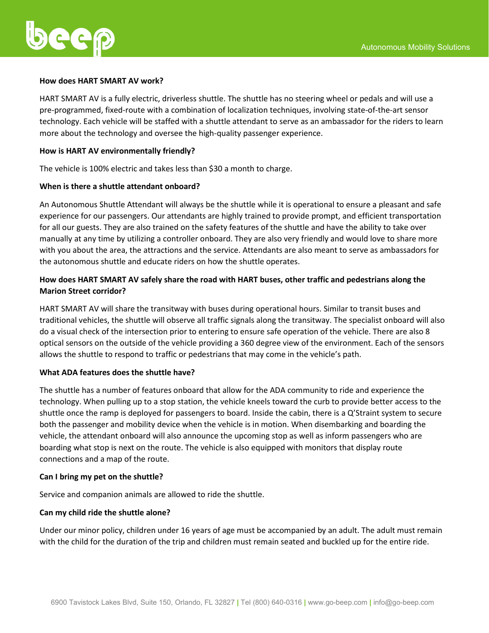

#### **How does HART SMART AV work?**

HART SMART AV is a fully electric, driverless shuttle. The shuttle has no steering wheel or pedals and will use a pre-programmed, fixed-route with a combination of localization techniques, involving state-of-the-art sensor technology. Each vehicle will be staffed with a shuttle attendant to serve as an ambassador for the riders to learn more about the technology and oversee the high-quality passenger experience.

#### **How is HART AV environmentally friendly?**

The vehicle is 100% electric and takes less than \$30 a month to charge.

#### **When is there a shuttle attendant onboard?**

An Autonomous Shuttle Attendant will always be the shuttle while it is operational to ensure a pleasant and safe experience for our passengers. Our attendants are highly trained to provide prompt, and efficient transportation for all our guests. They are also trained on the safety features of the shuttle and have the ability to take over manually at any time by utilizing a controller onboard. They are also very friendly and would love to share more with you about the area, the attractions and the service. Attendants are also meant to serve as ambassadors for the autonomous shuttle and educate riders on how the shuttle operates.

# **How does HART SMART AV safely share the road with HART buses, other traffic and pedestrians along the Marion Street corridor?**

HART SMART AV will share the transitway with buses during operational hours. Similar to transit buses and traditional vehicles, the shuttle will observe all traffic signals along the transitway. The specialist onboard will also do a visual check of the intersection prior to entering to ensure safe operation of the vehicle. There are also 8 optical sensors on the outside of the vehicle providing a 360 degree view of the environment. Each of the sensors allows the shuttle to respond to traffic or pedestrians that may come in the vehicle's path.

#### **What ADA features does the shuttle have?**

The shuttle has a number of features onboard that allow for the ADA community to ride and experience the technology. When pulling up to a stop station, the vehicle kneels toward the curb to provide better access to the shuttle once the ramp is deployed for passengers to board. Inside the cabin, there is a Q'Straint system to secure both the passenger and mobility device when the vehicle is in motion. When disembarking and boarding the vehicle, the attendant onboard will also announce the upcoming stop as well as inform passengers who are boarding what stop is next on the route. The vehicle is also equipped with monitors that display route connections and a map of the route.

#### **Can I bring my pet on the shuttle?**

Service and companion animals are allowed to ride the shuttle.

# **Can my child ride the shuttle alone?**

Under our minor policy, children under 16 years of age must be accompanied by an adult. The adult must remain with the child for the duration of the trip and children must remain seated and buckled up for the entire ride.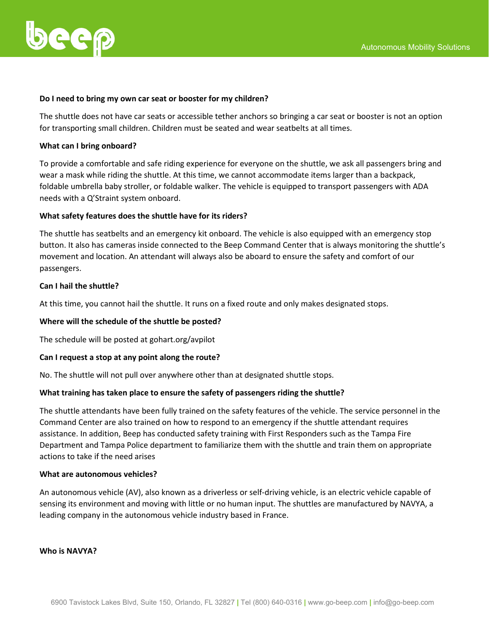

#### **Do I need to bring my own car seat or booster for my children?**

The shuttle does not have car seats or accessible tether anchors so bringing a car seat or booster is not an option for transporting small children. Children must be seated and wear seatbelts at all times.

#### **What can I bring onboard?**

To provide a comfortable and safe riding experience for everyone on the shuttle, we ask all passengers bring and wear a mask while riding the shuttle. At this time, we cannot accommodate items larger than a backpack, foldable umbrella baby stroller, or foldable walker. The vehicle is equipped to transport passengers with ADA needs with a Q'Straint system onboard.

#### **What safety features does the shuttle have for its riders?**

The shuttle has seatbelts and an emergency kit onboard. The vehicle is also equipped with an emergency stop button. It also has cameras inside connected to the Beep Command Center that is always monitoring the shuttle's movement and location. An attendant will always also be aboard to ensure the safety and comfort of our passengers.

#### **Can I hail the shuttle?**

At this time, you cannot hail the shuttle. It runs on a fixed route and only makes designated stops.

#### **Where will the schedule of the shuttle be posted?**

The schedule will be posted at gohart.org/avpilot

# **Can I request a stop at any point along the route?**

No. The shuttle will not pull over anywhere other than at designated shuttle stops.

# **What training has taken place to ensure the safety of passengers riding the shuttle?**

The shuttle attendants have been fully trained on the safety features of the vehicle. The service personnel in the Command Center are also trained on how to respond to an emergency if the shuttle attendant requires assistance. In addition, Beep has conducted safety training with First Responders such as the Tampa Fire Department and Tampa Police department to familiarize them with the shuttle and train them on appropriate actions to take if the need arises

#### **What are autonomous vehicles?**

An autonomous vehicle (AV), also known as a driverless or self-driving vehicle, is an electric vehicle capable of sensing its environment and moving with little or no human input. The shuttles are manufactured by NAVYA, a leading company in the autonomous vehicle industry based in France.

#### **Who is NAVYA?**